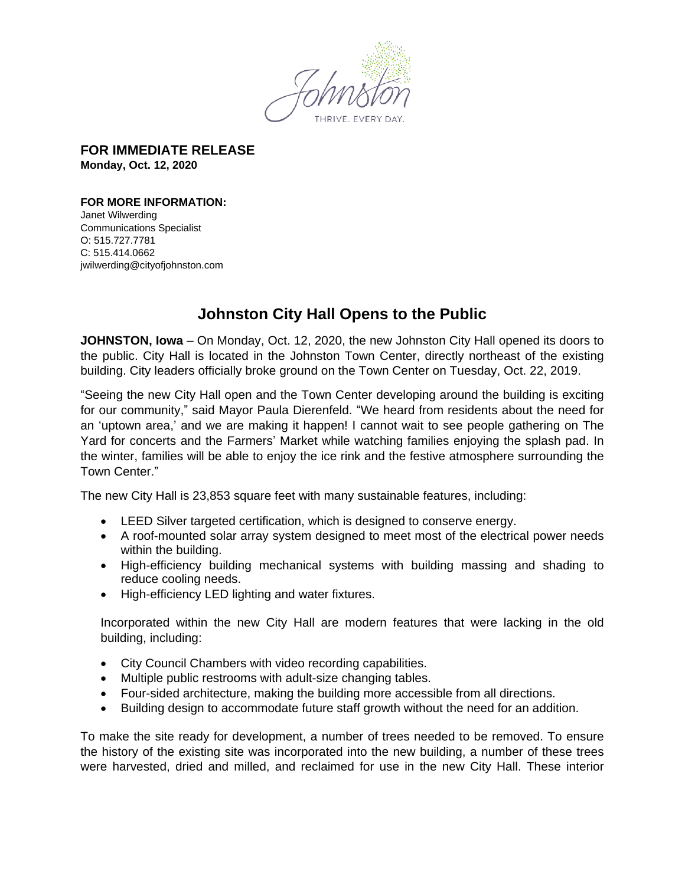

**FOR IMMEDIATE RELEASE Monday, Oct. 12, 2020**

**FOR MORE INFORMATION:**  Janet Wilwerding

Communications Specialist O: 515.727.7781 C: 515.414.0662 jwilwerding@cityofjohnston.com

## **Johnston City Hall Opens to the Public**

**JOHNSTON, Iowa** – On Monday, Oct. 12, 2020, the new Johnston City Hall opened its doors to the public. City Hall is located in the Johnston Town Center, directly northeast of the existing building. City leaders officially broke ground on the Town Center on Tuesday, Oct. 22, 2019.

"Seeing the new City Hall open and the Town Center developing around the building is exciting for our community," said Mayor Paula Dierenfeld. "We heard from residents about the need for an 'uptown area,' and we are making it happen! I cannot wait to see people gathering on The Yard for concerts and the Farmers' Market while watching families enjoying the splash pad. In the winter, families will be able to enjoy the ice rink and the festive atmosphere surrounding the Town Center."

The new City Hall is 23,853 square feet with many sustainable features, including:

- LEED Silver targeted certification, which is designed to conserve energy.
- A roof-mounted solar array system designed to meet most of the electrical power needs within the building.
- High-efficiency building mechanical systems with building massing and shading to reduce cooling needs.
- High-efficiency LED lighting and water fixtures.

Incorporated within the new City Hall are modern features that were lacking in the old building, including:

- City Council Chambers with video recording capabilities.
- Multiple public restrooms with adult-size changing tables.
- Four-sided architecture, making the building more accessible from all directions.
- Building design to accommodate future staff growth without the need for an addition.

To make the site ready for development, a number of trees needed to be removed. To ensure the history of the existing site was incorporated into the new building, a number of these trees were harvested, dried and milled, and reclaimed for use in the new City Hall. These interior